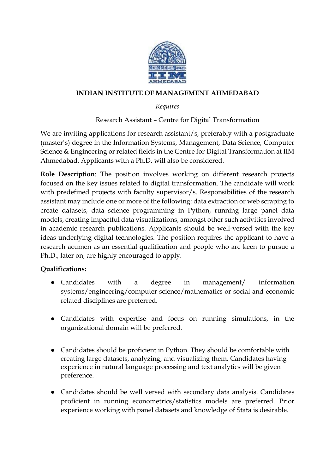

## **INDIAN INSTITUTE OF MANAGEMENT AHMEDABAD**

## *Requires*

Research Assistant – Centre for Digital Transformation

We are inviting applications for research assistant/s, preferably with a postgraduate (master's) degree in the Information Systems, Management, Data Science, Computer Science & Engineering or related fields in the Centre for Digital Transformation at IIM Ahmedabad. Applicants with a Ph.D. will also be considered.

**Role Description**: The position involves working on different research projects focused on the key issues related to digital transformation. The candidate will work with predefined projects with faculty supervisor/s. Responsibilities of the research assistant may include one or more of the following: data extraction or web scraping to create datasets, data science programming in Python, running large panel data models, creating impactful data visualizations, amongst other such activities involved in academic research publications. Applicants should be well-versed with the key ideas underlying digital technologies. The position requires the applicant to have a research acumen as an essential qualification and people who are keen to pursue a Ph.D., later on, are highly encouraged to apply.

## **Qualifications:**

- Candidates with a degree in management/ information systems/engineering/computer science/mathematics or social and economic related disciplines are preferred.
- Candidates with expertise and focus on running simulations, in the organizational domain will be preferred.
- Candidates should be proficient in Python. They should be comfortable with creating large datasets, analyzing, and visualizing them. Candidates having experience in natural language processing and text analytics will be given preference.
- Candidates should be well versed with secondary data analysis. Candidates proficient in running econometrics/statistics models are preferred. Prior experience working with panel datasets and knowledge of Stata is desirable.